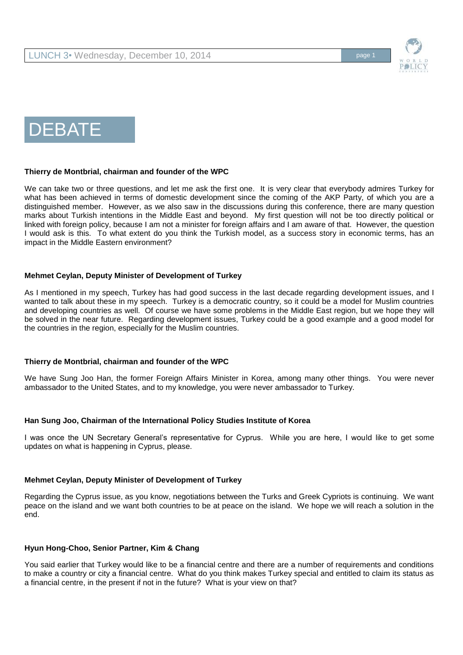

# DEBATE

## **Thierry de Montbrial, chairman and founder of the WPC**

We can take two or three questions, and let me ask the first one. It is very clear that everybody admires Turkey for what has been achieved in terms of domestic development since the coming of the AKP Party, of which you are a distinguished member. However, as we also saw in the discussions during this conference, there are many question marks about Turkish intentions in the Middle East and beyond. My first question will not be too directly political or linked with foreign policy, because I am not a minister for foreign affairs and I am aware of that. However, the question I would ask is this. To what extent do you think the Turkish model, as a success story in economic terms, has an impact in the Middle Eastern environment?

## **Mehmet Ceylan, Deputy Minister of Development of Turkey**

As I mentioned in my speech, Turkey has had good success in the last decade regarding development issues, and I wanted to talk about these in my speech. Turkey is a democratic country, so it could be a model for Muslim countries and developing countries as well. Of course we have some problems in the Middle East region, but we hope they will be solved in the near future. Regarding development issues, Turkey could be a good example and a good model for the countries in the region, especially for the Muslim countries.

# **Thierry de Montbrial, chairman and founder of the WPC**

We have Sung Joo Han, the former Foreign Affairs Minister in Korea, among many other things. You were never ambassador to the United States, and to my knowledge, you were never ambassador to Turkey.

#### **Han Sung Joo, Chairman of the International Policy Studies Institute of Korea**

I was once the UN Secretary General's representative for Cyprus. While you are here, I would like to get some updates on what is happening in Cyprus, please.

#### **Mehmet Ceylan, Deputy Minister of Development of Turkey**

Regarding the Cyprus issue, as you know, negotiations between the Turks and Greek Cypriots is continuing. We want peace on the island and we want both countries to be at peace on the island. We hope we will reach a solution in the end.

# **Hyun Hong-Choo, Senior Partner, Kim & Chang**

You said earlier that Turkey would like to be a financial centre and there are a number of requirements and conditions to make a country or city a financial centre. What do you think makes Turkey special and entitled to claim its status as a financial centre, in the present if not in the future? What is your view on that?